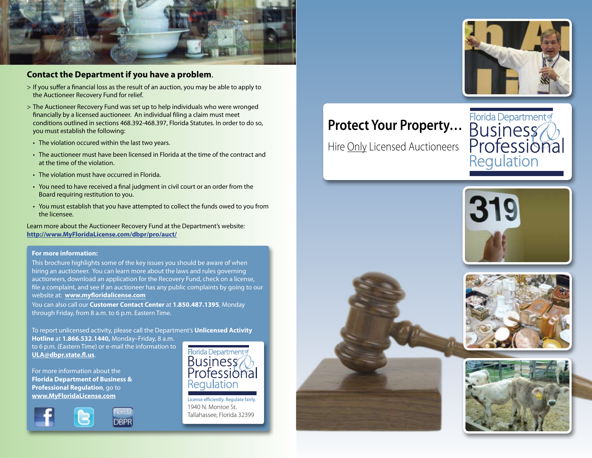

### **Contact the Department if you have a problem**.

- > If you suffer a financial loss as the result of an auction, you may be able to apply to the Auctioneer Recovery Fund for relief.
- > The Auctioneer Recovery Fund was set up to help individuals who were wronged financially by a licensed auctioneer. An individual filing a claim must meet conditions outlined in sections 468.392-468.397, Florida Statutes. In order to do so, you must establish the following:
	- The violation occured within the last two years.
	- • The auctioneer must have been licensed in Florida at the time of the contract and at the time of the violation.
	- The violation must have occurred in Florida.
	- You need to have received a final judgment in civil court or an order from the Board requiring restitution to you.
	- • You must establish that you have attempted to collect the funds owed to you from the licensee.

Learn more about the Auctioneer Recovery Fund at the Department's website: **http://www.MyFloridaLicense.com/dbpr/pro/auct/**

### **For more information:**

This brochure highlights some of the key issues you should be aware of when hiring an auctioneer. You can learn more about the laws and rules governing auctioneers, download an application for the Recovery Fund, check on a license, file a complaint, and see if an auctioneer has any public complaints by going to our website at: **www.myfloridalicense.com**

You can also call our **Customer Contact Center** at **1.850.487.1395**, Monday through Friday, from 8 a.m. to 6 p.m. Eastern Time.

To report unlicensed activity, please call the Department's **Unlicensed Activity Hotline** at **1.866.532.1440,** Monday–Friday, 8 a.m. to 6 p.m. (Eastern Time) or e-mail the information to **ULA@dbpr.state.fl.us**.

For more information about the **Florida Department of Business & Professional Regulation**, go to **www.MyFloridaLicense.com**





**License efficiently. Regulate fairly.** 1940 N. Monroe St. Tallahassee, Florida 32399

## **Protect Your Property…**

Hire <u>Only</u> Licensed Auctioneers